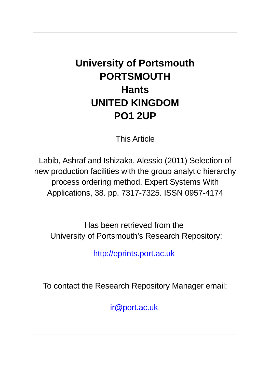# **University of Portsmouth PORTSMOUTH Hants UNITED KINGDOM PO1 2UP**

This Article

Labib, Ashraf and Ishizaka, Alessio (2011) Selection of new production facilities with the group analytic hierarchy process ordering method. Expert Systems With Applications, 38. pp. 7317-7325. ISSN 0957-4174

Has been retrieved from the University of Portsmouth's Research Repository:

[http://eprints.port.ac.uk](http://eprints.port.ac.uk/)

To contact the Research Repository Manager email:

[ir@port.ac.uk](mailto:ir@port.ac.uk)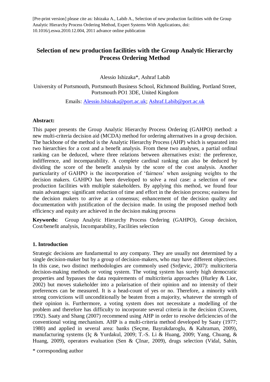# **Selection of new production facilities with the Group Analytic Hierarchy Process Ordering Method**

Alessio Ishizaka\*, Ashraf Labib

University of Portsmouth, Portsmouth Business School, Richmond Building, Portland Street, Portsmouth PO1 3DE, United Kingdom

Emails: [Alessio.Ishizaka@port.ac.uk;](mailto:Alessio.Ishizaka@port.ac.uk) [Ashraf.Labib@port.ac.uk](mailto:Ashraf.Labib@port.ac.uk)

#### **Abstract:**

This paper presents the Group Analytic Hierarchy Process Ordering (GAHPO) method: a new multi-criteria decision aid (MCDA) method for ordering alternatives in a group decision. The backbone of the method is the Analytic Hierarchy Process (AHP) which is separated into two hierarchies for a cost and a benefit analysis. From these two analyses, a partial ordinal ranking can be deduced, where three relations between alternatives exist: the preference, indifference, and incomparability. A complete cardinal ranking can also be deduced by dividing the score of the benefit analysis by the score of the cost analysis. Another particularity of GAHPO is the incorporation of "fairness" when assigning weights to the decision makers. GAHPO has been developed to solve a real case: a selection of new production facilities with multiple stakeholders. By applying this method, we found four main advantages: significant reduction of time and effort in the decision process; easiness for the decision makers to arrive at a consensus; enhancement of the decision quality and documentation with justification of the decision made. In using the proposed method both efficiency and equity are achieved in the decision making process

**Keywords:** Group Analytic Hierarchy Process Ordering (GAHPO), Group decision, Cost/benefit analysis, Incomparability, Facilities selection

#### **1. Introduction**

Strategic decisions are fundamental to any company. They are usually not determined by a single decision-maker but by a group of decision-makers, who may have different objectives. In this case, two distinct methodologies are commonly used (Srdjevic, 2007): multicriteria decision-making methods or voting system. The voting system has surely high democratic properties and bypasses the data requirements of multicriteria approaches (Hurley & Lior, 2002) but moves stakeholder into a polarisation of their opinion and no intensity of their preferences can be measured. It is a head-count of yes or no. Therefore, a minority with strong convictions will unconditionally be beaten from a majority, whatever the strength of their opinion is. Furthermore, a voting system does not necessitate a modelling of the problem and therefore has difficulty to incorporate several criteria in the decision (Craven, 1992). Saaty and Shang (2007) recommend using AHP in order to resolve deficiencies of the conventional voting mechanism. AHP is a multi-criteria method developed by Saaty (1977; 1980) and applied in several area: banks (Seçme, Bayrakdaroglu, & Kahraman, 2009), manufacturing systems (Iç & Yurdakul, 2009; T.-S. Li & Huang, 2009; Yang, Chuang, & Huang, 2009), operators evaluation (Sen & ÇInar, 2009), drugs selection (Vidal, Sahin,

\* corresponding author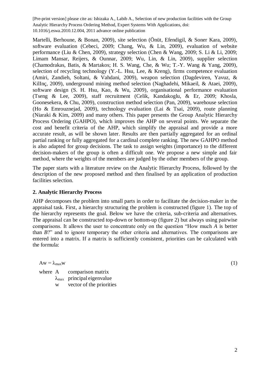Martelli, Berhoune, & Bonan, 2009), site selection (Önüt, Efendigil, & Soner Kara, 2009), software evaluation (Cebeci, 2009; Chang, Wu, & Lin, 2009), evaluation of website performance (Liu & Chen, 2009), strategy selection (Chen & Wang, 2009; S. Li & Li, 2009; Limam Mansar, Reijers, & Ounnar, 2009; Wu, Lin, & Lin, 2009), supplier selection (Chamodrakas, Batis, & Martakos; H. S. Wang, Che, & Wu; T.-Y. Wang & Yang, 2009), selection of recycling technology (Y.-L. Hsu, Lee, & Kreng), firms competence evaluation (Amiri, Zandieh, Soltani, & Vahdani, 2009), weapon selection (Dagdeviren, Yavuz, & Killnc, 2009), underground mining method selection (Naghadehi, Mikaeil, & Ataei, 2009), software design (S. H. Hsu, Kao, & Wu, 2009), organisational performance evaluation (Tseng & Lee, 2009), staff recruitment (Celik, Kandakoglu, & Er, 2009; Khosla, Goonesekera, & Chu, 2009), construction method selection (Pan, 2009), warehouse selection (Ho & Emrouznejad, 2009), technology evaluation (Lai & Tsai, 2009), route planning (Niaraki & Kim, 2009) and many others. This paper presents the Group Analytic Hierarchy Process Ordering (GAHPO), which improves the AHP on several points. We separate the cost and benefit criteria of the AHP, which simplify the appraisal and provide a more accurate result, as will be shown later. Results are then partially aggregated for an ordinal partial ranking or fully aggregated for a cardinal complete ranking. The new GAHPO method is also adapted for group decisions. The task to assign weights (importance) to the different decision-makers of the group is often a difficult one. We propose a new simple and fair method, where the weights of the members are judged by the other members of the group.

The paper starts with a literature review on the Analytic Hierarchy Process, followed by the description of the new proposed method and then finalised by an application of production facilities selection.

## **2. Analytic Hierarchy Process**

AHP decomposes the problem into small parts in order to facilitate the decision-maker in the appraisal task. First, a hierarchy structuring the problem is constructed (figure 1). The top of the hierarchy represents the goal. Below we have the criteria, sub-criteria and alternatives. The appraisal can be constructed top-down or bottom-up (figure 2) but always using pairwise comparisons. It allows the user to concentrate only on the question "How much *A* is better than *B*?" and to ignore temporary the other criteria and alternatives. The comparisons are entered into a matrix. If a matrix is sufficiently consistent, priorities can be calculated with the formula:

 $A w = \lambda_{\text{max}} w$  (1)

| where A |   | comparison matrix                           |
|---------|---|---------------------------------------------|
|         |   | $\lambda_{\text{max}}$ principal eigenvalue |
|         | W | vector of the priorities                    |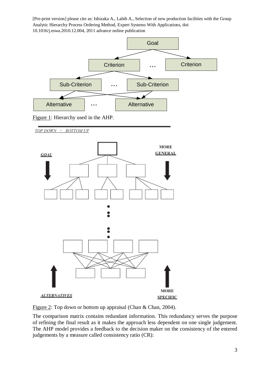

Figure 1: Hierarchy used in the AHP.



Figure 2: Top down or bottom up appraisal (Chan & Chan, 2004).

The comparison matrix contains redundant information. This redundancy serves the purpose of refining the final result as it makes the approach less dependent on one single judgement. The AHP model provides a feedback to the decision maker on the consistency of the entered judgements by a measure called consistency ratio (CR):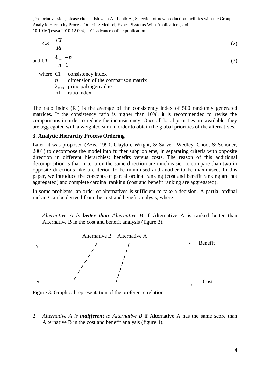$$
CR = \frac{CI}{RI}
$$
 (2)

and  $CI =$ 1 max  $\overline{a}$  $\overline{a}$ *n*  $\lambda_{\max} - n$ 

where CI consistency index

*n* dimension of the comparison matrix

 $\lambda_{\text{max}}$  principal eigenvalue

RI ratio index

The ratio index (RI) is the average of the consistency index of 500 randomly generated matrices. If the consistency ratio is higher than 10%, it is recommended to revise the comparisons in order to reduce the inconsistency. Once all local priorities are available, they are aggregated with a weighted sum in order to obtain the global priorities of the alternatives.

### **3. Analytic Hierarchy Process Ordering**

Later, it was proposed (Azis, 1990; Clayton, Wright, & Sarver; Wedley, Choo, & Schoner, 2001) to decompose the model into further subproblems, in separating criteria with opposite direction in different hierarchies: benefits versus costs. The reason of this additional decomposition is that criteria on the same direction are much easier to compare than two in opposite directions like a criterion to be minimised and another to be maximised. In this paper, we introduce the concepts of partial ordinal ranking (cost and benefit ranking are not aggregated) and complete cardinal ranking (cost and benefit ranking are aggregated).

In some problems, an order of alternatives is sufficient to take a decision. A partial ordinal ranking can be derived from the cost and benefit analysis, where:

1. *Alternative A is better than Alternative B* if Alternative A is ranked better than Alternative B in the cost and benefit analysis (figure 3).



Figure 3: Graphical representation of the preference relation

2. *Alternative A is indifferent to Alternative B* if Alternative A has the same score than Alternative B in the cost and benefit analysis (figure 4).

(3)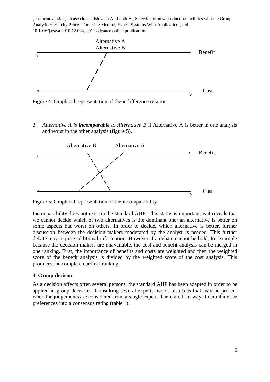

Figure 4: Graphical representation of the indifference relation

3. *Alternative A is incomparable to Alternative B* if Alternative A is better in one analysis and worst in the other analysis (figure 5).



Figure 5: Graphical representation of the incomparability

Incomparability does not exist in the standard AHP. This status is important as it reveals that we cannot decide which of two alternatives is the dominant one: an alternative is better on some aspects but worst on others. In order to decide, which alternative is better, further discussion between the decision-makers moderated by the analyst is needed. This further debate may require additional information. However if a debate cannot be hold, for example because the decision-makers are unavailable, the cost and benefit analysis can be merged in one ranking. First, the importance of benefits and costs are weighted and then the weighted score of the benefit analysis is divided by the weighted score of the cost analysis. This produces the complete cardinal ranking.

## **4. Group decision**

As a decision affects often several persons, the standard AHP has been adapted in order to be applied in group decisions. Consulting several experts avoids also bias that may be present when the judgements are considered from a single expert. There are four ways to combine the preferences into a consensus rating (table 1).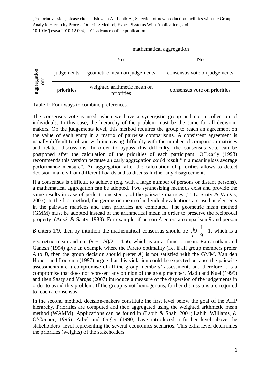|                    |            | mathematical aggregation                  |                              |  |  |  |
|--------------------|------------|-------------------------------------------|------------------------------|--|--|--|
|                    |            | Yes                                       | No                           |  |  |  |
|                    | judgements | geometric mean on judgements              | consensus vote on judgements |  |  |  |
| aggregation<br>on: | priorities | weighted arithmetic mean on<br>priorities | consensus vote on priorities |  |  |  |

Table 1: Four ways to combine preferences.

The consensus vote is used, when we have a synergistic group and not a collection of individuals. In this case, the hierarchy of the problem must be the same for all decisionmakers. On the judgements level, this method requires the group to reach an agreement on the value of each entry in a matrix of pairwise comparisons. A consistent agreement is usually difficult to obtain with increasing difficulty with the number of comparison matrices and related discussions. In order to bypass this difficulty, the consensus vote can be postponed after the calculation of the priorities of each participant. O"Learly (1993) recommends this version because an early aggregation could result "in a meaningless average performance measure". An aggregation after the calculation of priorities allows to detect decision-makers from different boards and to discuss further any disagreement.

If a consensus is difficult to achieve (e.g. with a large number of persons or distant persons), a mathematical aggregation can be adopted. Two synthesizing methods exist and provide the same results in case of perfect consistency of the pairwise matrices (T. L. Saaty & Vargas, 2005). In the first method, the geometric mean of individual evaluations are used as elements in the pairwise matrices and then priorities are computed. The geometric mean method (GMM) must be adopted instead of the arithmetical mean in order to preserve the reciprocal property (Aczél & Saaty, 1983). For example, if person *A* enters a comparison 9 and person

*B* enters 1/9, then by intuition the mathematical consensus should be 9  $9 \cdot \frac{1}{2} = 1$ , which is a

geometric mean and not  $(9 + 1/9)/2 = 4.56$ , which is an arithmetic mean. Ramanathan and Ganesh (1994) give an example where the Pareto optimality (i.e. if all group members prefer *A* to *B*, then the group decision should prefer *A*) is not satisfied with the GMM. Van den Honert and Lootsma (1997) argue that this violation could be expected because the pairwise assessments are a compromise of all the group members' assessments and therefore it is a compromise that does not represent any opinion of the group member. Madu and Kuei (1995) and then Saaty and Vargas (2007) introduce a measure of the dispersion of the judgements in order to avoid this problem. If the group is not homogenous, further discussions are required to reach a consensus.

In the second method, decision-makers constitute the first level below the goal of the AHP hierarchy. Priorities are computed and then aggregated using the weighted arithmetic mean method (WAMM). Applications can be found in (Labib & Shah, 2001; Labib, Williams, & O"Connor, 1996). Arbel and Orgler (1990) have introduced a further level above the stakeholders' level representing the several economics scenarios. This extra level determines the priorities (weights) of the stakeholders.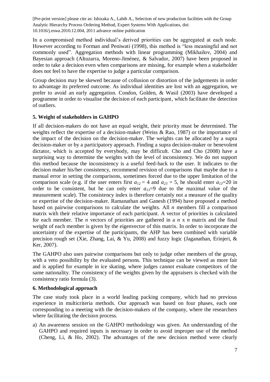In a compromised method individual"s derived priorities can be aggregated at each node. However according to Forman and Peniwati (1998), this method is "less meaningful and not commonly used". Aggregation methods with linear programming (Mikhailov, 2004) and Bayesian approach (Altuzarra, Moreno-Jiménez, & Salvador, 2007) have been proposed in order to take a decision even when comparisons are missing, for example when a stakeholder does not feel to have the expertise to judge a particular comparison.

Group decision may be skewed because of collusion or distortion of the judgements in order to advantage its preferred outcome. As individual identities are lost with an aggregation, we prefer to avoid an early aggregation. Condon, Golden, & Wasil (2003) have developed a programme in order to visualise the decision of each participant, which facilitate the detection of outliers.

## **5. Weight of stakeholders in GAHPO**

If all decision-makers do not have an equal weight, their priority must be determined. The weights reflect the expertise of a decision-maker (Weiss & Rao, 1987) or the importance of the impact of the decision on the decision-maker. The weights can be allocated by a supra decision-maker or by a participatory approach. Finding a supra decision-maker or benevolent dictator, which is accepted by everybody, may be difficult. Cho and Cho (2008) have a surprising way to determine the weights with the level of inconsistency. We do not support this method because the inconsistency is a useful feed-back to the user. It indicates to the decision maker his/her consistency, recommend revision of comparisons that maybe due to a manual error in setting the comparisons, sometimes forced due to the upper limitation of the comparison scale (e.g. if the user enters first  $a_{12} = 4$  and  $a_{23} = 5$ , he should enter  $a_{13} = 20$  in order to be consistent, but he can only enter  $a_{13}=9$  due to the maximal value of the measurement scale). The consistency index is therefore certainly not a measure of the quality or expertise of the decision-maker. Ramanathan and Ganesh (1994) have proposed a method based on pairwise comparisons to calculate the weights. All *n* members fill a comparison matrix with their relative importance of each participant. A vector of priorities is calculated for each member. The *n* vectors of priorities are gathered in a *n* x *n* matrix and the final weight of each member is given by the eigenvector of this matrix. In order to incorporate the uncertainty of the expertise of the participants, the AHP has been combined with variable precision rough set (Xie, Zhang, Lai, & Yu, 2008) and fuzzy logic (Jaganathan, Erinjeri, & Ker, 2007).

The GAHPO also uses pairwise comparisons but only to judge other members of the group, with a veto possibility by the evaluated persons. This technique can be viewed as more fair and is applied for example in ice skating, where judges cannot evaluate competitors of the same nationality. The consistency of the weights given by the appraisers is checked with the consistency ratio formula (3).

#### **6. Methodological approach**

The case study took place in a world leading packing company, which had no previous experience in multicriteria methods. Our approach was based on four phases, each one corresponding to a meeting with the decision-makers of the company, where the researchers where facilitating the decision process.

a) An awareness session on the GAHPO methodology was given. An understanding of the GAHPO and required inputs is necessary in order to avoid improper use of the method (Cheng, Li, & Ho, 2002). The advantages of the new decision method were clearly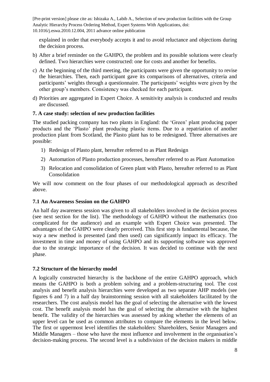explained in order that everybody accepts it and to avoid reluctance and objections during the decision process.

- b) After a brief reminder on the GAHPO, the problem and its possible solutions were clearly defined. Two hierarchies were constructed: one for costs and another for benefits.
- c) At the beginning of the third meeting, the participants were given the opportunity to revise the hierarchies. Then, each participant gave its comparisons of alternatives, criteria and participants' weights through a questionnaire. The participants' weights were given by the other group"s members. Consistency was checked for each participant.
- d) Priorities are aggregated in Expert Choice. A sensitivity analysis is conducted and results are discussed.

#### **7. A case study: selection of new production facilities**

The studied packing company has two plants in England: the "Green" plant producing paper products and the "Plasto" plant producing plastic items. Due to a repatriation of another production plant from Scotland, the Plasto plant has to be redesigned. Three alternatives are possible:

- 1) Redesign of Plasto plant, hereafter referred to as Plant Redesign
- 2) Automation of Plasto production processes, hereafter referred to as Plant Automation
- 3) Relocation and consolidation of Green plant with Plasto, hereafter referred to as Plant Consolidation

We will now comment on the four phases of our methodological approach as described above.

## **7.1 An Awareness Session on the GAHPO**

An half day awareness session was given to all stakeholders involved in the decision process (see next section for the list). The methodology of GAHPO without the mathematics (too complicated for the audience) and an example with Expert Choice was presented. The advantages of the GAHPO were clearly perceived. This first step is fundamental because, the way a new method is presented (and then used) can significantly impact its efficacy. The investment in time and money of using GAHPO and its supporting software was approved due to the strategic importance of the decision. It was decided to continue with the next phase.

#### **7.2 Structure of the hierarchy model**

A logically constructed hierarchy is the backbone of the entire GAHPO approach, which means the GAHPO is both a problem solving and a problem-structuring tool. The cost analysis and benefit analysis hierarchies were developed as two separate AHP models (see figures 6 and 7) in a half day brainstorming session with all stakeholders facilitated by the researchers. The cost analysis model has the goal of selecting the alternative with the lowest cost. The benefit analysis model has the goal of selecting the alternative with the highest benefit. The validity of the hierarchies was assessed by asking whether the elements of an upper level can be used as common attributes to compare the elements in the level below. The first or uppermost level identifies the stakeholders: Shareholders, Senior Managers and Middle Managers – those who have the most influence and involvement in the organisation's decision-making process. The second level is a subdivision of the decision makers in middle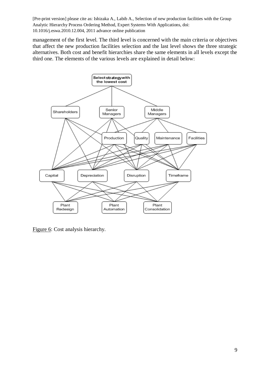management of the first level. The third level is concerned with the main criteria or objectives that affect the new production facilities selection and the last level shows the three strategic alternatives. Both cost and benefit hierarchies share the same elements in all levels except the third one. The elements of the various levels are explained in detail below:



Figure 6: Cost analysis hierarchy.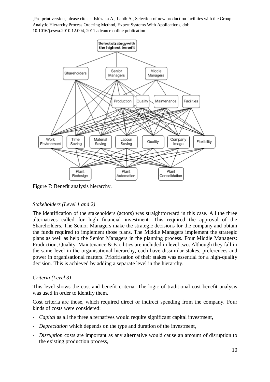

Figure 7: Benefit analysis hierarchy.

## *Stakeholders (Level 1 and 2)*

The identification of the stakeholders (actors) was straightforward in this case. All the three alternatives called for high financial investment. This required the approval of the Shareholders. The Senior Managers make the strategic decisions for the company and obtain the funds required to implement those plans. The Middle Managers implement the strategic plans as well as help the Senior Managers in the planning process. Four Middle Managers: Production, Quality, Maintenance & Facilities are included in level two. Although they fall in the same level in the organisational hierarchy, each have dissimilar stakes, preferences and power in organisational matters. Prioritisation of their stakes was essential for a high-quality decision. This is achieved by adding a separate level in the hierarchy.

#### *Criteria (Level 3)*

This level shows the cost and benefit criteria. The logic of traditional cost-benefit analysis was used in order to identify them.

Cost criteria are those, which required direct or indirect spending from the company. Four kinds of costs were considered:

- *Capital* as all the three alternatives would require significant capital investment,
- *Depreciation* which depends on the type and duration of the investment,
- *Disruption* costs are important as any alternative would cause an amount of disruption to the existing production process,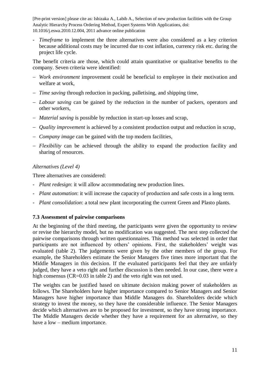*Timeframe* to implement the three alternatives were also considered as a key criterion because additional costs may be incurred due to cost inflation, currency risk etc. during the project life cycle.

The benefit criteria are those, which could attain quantitative or qualitative benefits to the company. Seven criteria were identified:

- *Work environment* improvement could be beneficial to employee in their motivation and welfare at work,
- *Time saving* through reduction in packing, palletising, and shipping time,
- *Labour saving* can be gained by the reduction in the number of packers, operators and other workers,
- *Material saving* is possible by reduction in start-up losses and scrap,
- *Quality improvement* is achieved by a consistent production output and reduction in scrap,
- *Company image* can be gained with the top modern facilities,
- *Flexibility* can be achieved through the ability to expand the production facility and sharing of resources.

### *Alternatives (Level 4)*

Three alternatives are considered:

- *Plant redesign*: it will allow accommodating new production lines.
- *Plant automation*: it will increase the capacity of production and safe costs in a long term.
- *Plant consolidation*: a total new plant incorporating the current Green and Plasto plants.

#### **7.3 Assessment of pairwise comparisons**

At the beginning of the third meeting, the participants were given the opportunity to review or revise the hierarchy model, but no modification was suggested. The next step collected the pairwise comparisons through written questionnaires. This method was selected in order that participants are not influenced by others' opinions. First, the stakeholders' weight was evaluated (table 2). The judgements were given by the other members of the group. For example, the Shareholders estimate the Senior Managers five times more important that the Middle Managers in this decision. If the evaluated participants feel that they are unfairly judged, they have a veto right and further discussion is then needed. In our case, there were a high consensus (CR=0.03 in table 2) and the veto right was not used.

The weights can be justified based on ultimate decision making power of stakeholders as follows. The Shareholders have higher importance compared to Senior Managers and Senior Managers have higher importance than Middle Managers do. Shareholders decide which strategy to invest the money, so they have the considerable influence. The Senior Managers decide which alternatives are to be proposed for investment, so they have strong importance. The Middle Managers decide whether they have a requirement for an alternative, so they have a low – medium importance.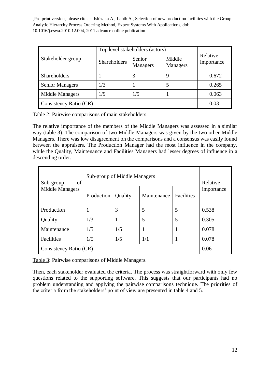|                        |              | Top level stakeholders (actors) |                    |                        |  |
|------------------------|--------------|---------------------------------|--------------------|------------------------|--|
| Stakeholder group      | Shareholders | Senior<br>Managers              | Middle<br>Managers | Relative<br>importance |  |
| Shareholders           |              |                                 | g                  | 0.672                  |  |
| <b>Senior Managers</b> | 1/3          |                                 |                    | 0.265                  |  |
| <b>Middle Managers</b> | 1/9          | 1/5                             |                    | 0.063                  |  |
| Consistency Ratio (CR) | 0.03         |                                 |                    |                        |  |

Table 2: Pairwise comparisons of main stakeholders.

The relative importance of the members of the Middle Managers was assessed in a similar way (table 3). The comparison of two Middle Managers was given by the two other Middle Managers. There was low disagreement on the comparisons and a consensus was easily found between the appraisers. The Production Manager had the most influence in the company, while the Quality, Maintenance and Facilities Managers had lesser degrees of influence in a descending order.

| of<br>Sub-group        | Sub-group of Middle Managers | Relative |             |            |            |
|------------------------|------------------------------|----------|-------------|------------|------------|
| <b>Middle Managers</b> | Production                   | Quality  | Maintenance | Facilities | importance |
| Production             |                              | 3        | 5           | 5          | 0.538      |
| Quality                | 1/3                          | 1        | 5           | 5          | 0.305      |
| Maintenance            | 1/5                          | 1/5      | 1           |            | 0.078      |
| Facilities             | 1/5                          | 0.078    |             |            |            |
| Consistency Ratio (CR) |                              |          |             |            | 0.06       |

Table 3: Pairwise comparisons of Middle Managers.

Then, each stakeholder evaluated the criteria. The process was straightforward with only few questions related to the supporting software. This suggests that our participants had no problem understanding and applying the pairwise comparisons technique. The priorities of the criteria from the stakeholders" point of view are presented in table 4 and 5.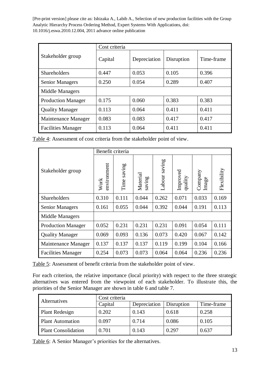|                           | Cost criteria |              |            |            |  |  |  |  |
|---------------------------|---------------|--------------|------------|------------|--|--|--|--|
| Stakeholder group         | Capital       | Depreciation | Disruption | Time-frame |  |  |  |  |
| <b>Shareholders</b>       | 0.447         | 0.053        | 0.105      | 0.396      |  |  |  |  |
| <b>Senior Managers</b>    | 0.250         | 0.054        | 0.289      | 0.407      |  |  |  |  |
| Middle Managers           |               |              |            |            |  |  |  |  |
| <b>Production Manager</b> | 0.175         | 0.060        | 0.383      | 0.383      |  |  |  |  |
| <b>Quality Manager</b>    | 0.113         | 0.064        | 0.411      | 0.411      |  |  |  |  |
| Maintenance Manager       | 0.083         | 0.083        | 0.417      | 0.417      |  |  |  |  |
| <b>Facilities Manager</b> | 0.113         | 0.064        | 0.411      | 0.411      |  |  |  |  |

Table 4: Assessment of cost criteria from the stakeholder point of view.

|                           | Benefit criteria    |                |                    |                  |                     |                  |             |
|---------------------------|---------------------|----------------|--------------------|------------------|---------------------|------------------|-------------|
| Stakeholder group         | environment<br>Work | saving<br>Time | Material<br>saving | saving<br>Labour | Improved<br>quality | Company<br>Image | Flexibility |
| <b>Shareholders</b>       | 0.310               | 0.111          | 0.044              | 0.262            | 0.071               | 0.033            | 0.169       |
| <b>Senior Managers</b>    | 0.161               | 0.055          | 0.044              | 0.392            | 0.044               | 0.191            | 0.113       |
| Middle Managers           |                     |                |                    |                  |                     |                  |             |
| <b>Production Manager</b> | 0.052               | 0.231          | 0.231              | 0.231            | 0.091               | 0.054            | 0.111       |
| <b>Quality Manager</b>    | 0.069               | 0.093          | 0.136              | 0.073            | 0.420               | 0.067            | 0.142       |
| Maintenance Manager       | 0.137               | 0.137          | 0.137              | 0.119            | 0.199               | 0.104            | 0.166       |
| <b>Facilities Manager</b> | 0.254               | 0.073          | 0.073              | 0.064            | 0.064               | 0.236            | 0.236       |

Table 5: Assessment of benefit criteria from the stakeholder point of view.

For each criterion, the relative importance (local priority) with respect to the three strategic alternatives was entered from the viewpoint of each stakeholder. To illustrate this, the priorities of the Senior Manager are shown in table 6 and table 7.

| Alternatives               | Cost criteria |              |            |            |  |  |
|----------------------------|---------------|--------------|------------|------------|--|--|
|                            | Capital       | Depreciation | Disruption | Time-frame |  |  |
| <b>Plant Redesign</b>      | 0.202         | 0.143        | 0.618      | 0.258      |  |  |
| <b>Plant Automation</b>    | 0.097         | 0.714        | 0.086      | 0.105      |  |  |
| <b>Plant Consolidation</b> | 0.701         | 0.143        | 0.297      | 0.637      |  |  |

Table 6: A Senior Manager's priorities for the alternatives.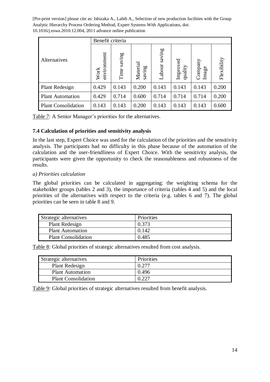|                            | Benefit criteria    |                |                    |                  |                     |                  |             |  |
|----------------------------|---------------------|----------------|--------------------|------------------|---------------------|------------------|-------------|--|
| <b>Alternatives</b>        | environment<br>Work | saving<br>Time | Material<br>saving | saving<br>Labour | Improved<br>quality | Company<br>Image | Flexibility |  |
| Plant Redesign             | 0.429               | 0.143          | 0.200              | 0.143            | 0.143               | 0.143            | 0.200       |  |
| <b>Plant Automation</b>    | 0.429               | 0.714          | 0.600              | 0.714            | 0.714               | 0.714            | 0.200       |  |
| <b>Plant Consolidation</b> | 0.143               | 0.143          | 0.200              | 0.143            | 0.143               | 0.143            | 0.600       |  |

Table 7: A Senior Manager's priorities for the alternatives.

## **7.4 Calculation of priorities and sensitivity analysis**

In the last step, Expert Choice was used for the calculation of the priorities and the sensitivity analysis. The participants had no difficulty in this phase because of the automation of the calculation and the user-friendliness of Expert Choice. With the sensitivity analysis, the participants were given the opportunity to check the reasonableness and robustness of the results.

## *a) Priorities calculation*

The global priorities can be calculated in aggregating: the weighting schema for the stakeholder groups (tables 2 and 3), the importance of criteria (tables 4 and 5) and the local priorities of the alternatives with respect to the criteria (e.g. tables 6 and 7). The global priorities can be seen in table 8 and 9.

| Strategic alternatives     | Priorities |
|----------------------------|------------|
| <b>Plant Redesign</b>      | 0.373      |
| <b>Plant Automation</b>    | 0.142      |
| <b>Plant Consolidation</b> | 0.485      |

Table 8: Global priorities of strategic alternatives resulted from cost analysis.

| <b>Strategic alternatives</b> | Priorities |
|-------------------------------|------------|
| <b>Plant Redesign</b>         | 0.277      |
| <b>Plant Automation</b>       | 0.496      |
| <b>Plant Consolidation</b>    |            |

Table 9: Global priorities of strategic alternatives resulted from benefit analysis.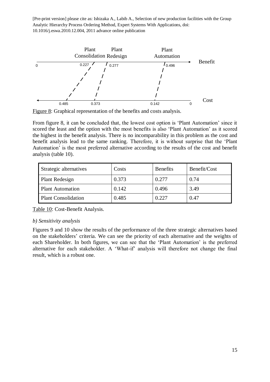

Figure 8: Graphical representation of the benefits and costs analysis.

From figure 8, it can be concluded that, the lowest cost option is "Plant Automation" since it scored the least and the option with the most benefits is also "Plant Automation" as it scored the highest in the benefit analysis. There is no incomparability in this problem as the cost and benefit analysis lead to the same ranking. Therefore, it is without surprise that the "Plant Automation" is the most preferred alternative according to the results of the cost and benefit analysis (table 10).

| Strategic alternatives     | Costs | <b>Benefits</b> | Benefit/Cost |
|----------------------------|-------|-----------------|--------------|
| Plant Redesign             | 0.373 | 0.277           | 0.74         |
| <b>Plant Automation</b>    | 0.142 | 0.496           | 3.49         |
| <b>Plant Consolidation</b> | 0.485 | 0.227           | 0.47         |

Table 10: Cost-Benefit Analysis.

## *b) Sensitivity analysis*

Figures 9 and 10 show the results of the performance of the three strategic alternatives based on the stakeholders" criteria. We can see the priority of each alternative and the weights of each Shareholder. In both figures, we can see that the "Plant Automation" is the preferred alternative for each stakeholder. A 'What-if' analysis will therefore not change the final result, which is a robust one.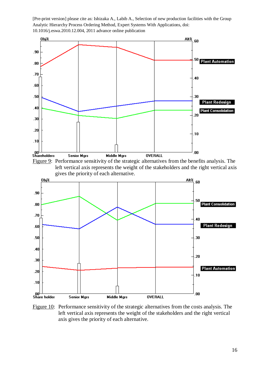





Figure 10: Performance sensitivity of the strategic alternatives from the costs analysis. The left vertical axis represents the weight of the stakeholders and the right vertical axis gives the priority of each alternative.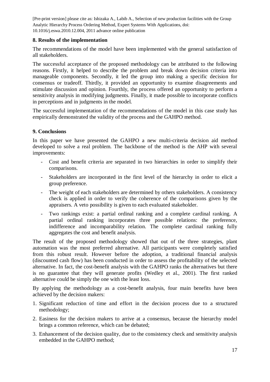## **8. Results of the implementation**

The recommendations of the model have been implemented with the general satisfaction of all stakeholders.

The successful acceptance of the proposed methodology can be attributed to the following reasons. Firstly, it helped to describe the problem and break down decision criteria into manageable components. Secondly, it led the group into making a specific decision for consensus or tradeoff. Thirdly, it provided an opportunity to examine disagreements and stimulate discussion and opinion. Fourthly, the process offered an opportunity to perform a sensitivity analysis in modifying judgments. Finally, it made possible to incorporate conflicts in perceptions and in judgments in the model.

The successful implementation of the recommendations of the model in this case study has empirically demonstrated the validity of the process and the GAHPO method.

### **9. Conclusions**

In this paper we have presented the GAHPO a new multi-criteria decision aid method developed to solve a real problem. The backbone of the method is the AHP with several improvements:

- Cost and benefit criteria are separated in two hierarchies in order to simplify their comparisons.
- Stakeholders are incorporated in the first level of the hierarchy in order to elicit a group preference.
- The weight of each stakeholders are determined by others stakeholders. A consistency check is applied in order to verify the coherence of the comparisons given by the appraisers. A veto possibility is given to each evaluated stakeholder.
- Two rankings exist: a partial ordinal ranking and a complete cardinal ranking. A partial ordinal ranking incorporates three possible relations: the preference, indifference and incomparability relation. The complete cardinal ranking fully aggregates the cost and benefit analysis.

The result of the proposed methodology showed that out of the three strategies, plant automation was the most preferred alternative. All participants were completely satisfied from this robust result. However before the adoption, a traditional financial analysis (discounted cash flow) has been conducted in order to assess the profitability of the selected alternative. In fact, the cost-benefit analysis with the GAHPO ranks the alternatives but there is no guarantee that they will generate profits (Wedley et al., 2001). The first ranked alternative could be simply the one with the least loss.

By applying the methodology as a cost-benefit analysis, four main benefits have been achieved by the decision makers:

- 1. Significant reduction of time and effort in the decision process due to a structured methodology;
- 2. Easiness for the decision makers to arrive at a consensus, because the hierarchy model brings a common reference, which can be debated;
- 3. Enhancement of the decision quality, due to the consistency check and sensitivity analysis embedded in the GAHPO method;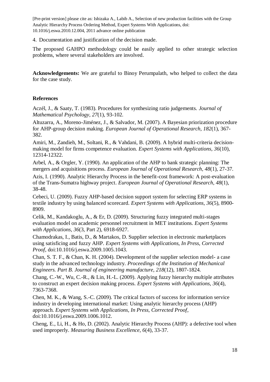4. Documentation and justification of the decision made.

The proposed GAHPO methodology could be easily applied to other strategic selection problems, where several stakeholders are involved.

**Acknowledgements:** We are grateful to Binoy Perumpalath, who helped to collect the data for the case study.

## **References**

Aczél, J., & Saaty, T. (1983). Procedures for synthesizing ratio judgements. *Journal of Mathematical Psychology, 27*(1), 93-102.

Altuzarra, A., Moreno-Jiménez, J., & Salvador, M. (2007). A Bayesian priorization procedure for AHP-group decision making. *European Journal of Operational Research, 182*(1), 367- 382.

Amiri, M., Zandieh, M., Soltani, R., & Vahdani, B. (2009). A hybrid multi-criteria decisionmaking model for firms competence evaluation. *Expert Systems with Applications, 36*(10), 12314-12322.

Arbel, A., & Orgler, Y. (1990). An application of the AHP to bank strategic planning: The mergers and acquisitions process. *European Journal of Operational Research, 48*(1), 27-37.

Azis, I. (1990). Analytic Hierarchy Process in the benefit-cost framework: A post-evaluation of the Trans-Sumatra highway project. *European Journal of Operational Research, 48*(1), 38-48.

Cebeci, U. (2009). Fuzzy AHP-based decision support system for selecting ERP systems in textile industry by using balanced scorecard. *Expert Systems with Applications, 36*(5), 8900- 8909.

Celik, M., Kandakoglu, A., & Er, D. (2009). Structuring fuzzy integrated multi-stages evaluation model on academic personnel recruitment in MET institutions. *Expert Systems with Applications, 36*(3, Part 2), 6918-6927.

Chamodrakas, I., Batis, D., & Martakos, D. Supplier selection in electronic marketplaces using satisficing and fuzzy AHP. *Expert Systems with Applications, In Press, Corrected Proof*, doi:10.1016/j.eswa.2009.1005.1043.

Chan, S. T. F., & Chan, K. H. (2004). Development of the supplier selection model- a case study in the advanced technology industry. *Proceedings of the Institution of Mechanical Engineers. Part B. Journal of engineering manufacture, 218*(12), 1807-1824.

Chang, C.-W., Wu, C.-R., & Lin, H.-L. (2009). Applying fuzzy hierarchy multiple attributes to construct an expert decision making process. *Expert Systems with Applications, 36*(4), 7363-7368.

Chen, M. K., & Wang, S.-C. (2009). The critical factors of success for information service industry in developing international market: Using analytic hierarchy process (AHP) approach. *Expert Systems with Applications, In Press, Corrected Proof*, doi:10.1016/j.eswa.2009.1006.1012.

Cheng, E., Li, H., & Ho, D. (2002). Analytic Hierarchy Process (AHP): a defective tool when used improperly. *Measuring Business Excellence, 6*(4), 33-37.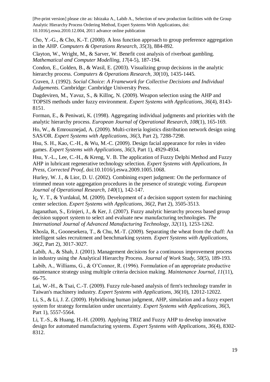Cho, Y.-G., & Cho, K.-T. (2008). A loss function approach to group preference aggregation in the AHP. *Computers & Operations Research, 35*(3), 884-892.

Clayton, W., Wright, M., & Sarver, W. Benefit cost analysis of riverboat gambling. *Mathematical and Computer Modelling, 17*(4-5), 187-194.

Condon, E., Golden, B., & Wasil, E. (2003). Visualizing group decisions in the analytic hierarchy process. *Computers & Operations Research, 30*(10), 1435-1445.

Craven, J. (1992). *Social Choice: A Framework for Collective Decisions and Individual Judgements*. Cambridge: Cambridge University Press.

Dagdeviren, M., Yavuz, S., & KilInç, N. (2009). Weapon selection using the AHP and TOPSIS methods under fuzzy environment. *Expert Systems with Applications, 36*(4), 8143- 8151.

Forman, E., & Peniwati, K. (1998). Aggregating individual judgments and priorities with the analytic hierarchy process. *European Journal of Operational Research, 108*(1), 165-169.

Ho, W., & Emrouznejad, A. (2009). Multi-criteria logistics distribution network design using SAS/OR. *Expert Systems with Applications, 36*(3, Part 2), 7288-7298.

Hsu, S. H., Kao, C.-H., & Wu, M.-C. (2009). Design facial appearance for roles in video games. *Expert Systems with Applications, 36*(3, Part 1), 4929-4934.

Hsu, Y.-L., Lee, C.-H., & Kreng, V. B. The application of Fuzzy Delphi Method and Fuzzy AHP in lubricant regenerative technology selection. *Expert Systems with Applications, In Press, Corrected Proof*, doi:10.1016/j.eswa.2009.1005.1068.

Hurley, W. J., & Lior, D. U. (2002). Combining expert judgment: On the performance of trimmed mean vote aggregation procedures in the presence of strategic voting. *European Journal of Operational Research, 140*(1), 142-147.

Iç, Y. T., & Yurdakul, M. (2009). Development of a decision support system for machining center selection. *Expert Systems with Applications, 36*(2, Part 2), 3505-3513.

Jaganathan, S., Erinjeri, J., & Ker, J. (2007). Fuzzy analytic hierarchy process based group decision support system to select and evaluate new manufacturing technologies. *The International Journal of Advanced Manufacturing Technology, 32*(11), 1253-1262.

Khosla, R., Goonesekera, T., & Chu, M.-T. (2009). Separating the wheat from the chaff: An intelligent sales recruitment and benchmarking system. *Expert Systems with Applications, 36*(2, Part 2), 3017-3027.

Labib, A., & Shah, J. (2001). Management decisions for a continuous improvement process in industry using the Analytical Hierarchy Process. *Journal of Work Study, 50*(5), 189-193.

Labib, A., Williams, G., & O"Connor, R. (1996). Formulation of an appropriate productive maintenance strategy using multiple criteria decision making. *Maintenance Journal, 11*(11), 66-75.

Lai, W.-H., & Tsai, C.-T. (2009). Fuzzy rule-based analysis of firm's technology transfer in Taiwan's machinery industry. *Expert Systems with Applications, 36*(10), 12012-12022.

Li, S., & Li, J. Z. (2009). Hybridising human judgment, AHP, simulation and a fuzzy expert system for strategy formulation under uncertainty. *Expert Systems with Applications, 36*(3, Part 1), 5557-5564.

Li, T.-S., & Huang, H.-H. (2009). Applying TRIZ and Fuzzy AHP to develop innovative design for automated manufacturing systems. *Expert Systems with Applications, 36*(4), 8302- 8312.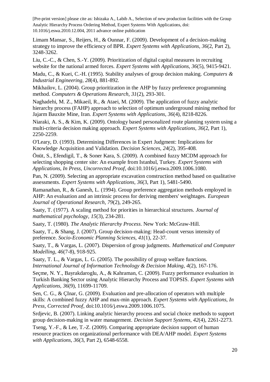Limam Mansar, S., Reijers, H., & Ounnar, F. (2009). Development of a decision-making strategy to improve the efficiency of BPR. *Expert Systems with Applications, 36*(2, Part 2), 3248-3262.

Liu, C.-C., & Chen, S.-Y. (2009). Prioritization of digital capital measures in recruiting website for the national armed forces. *Expert Systems with Applications, 36*(5), 9415-9421.

Madu, C., & Kuei, C.-H. (1995). Stability analyses of group decision making. *Computers & Industrial Engineering, 28*(4), 881-892.

Mikhailov, L. (2004). Group prioritization in the AHP by fuzzy preference programming method. *Computers & Operations Research, 31*(2), 293-301.

Naghadehi, M. Z., Mikaeil, R., & Ataei, M. (2009). The application of fuzzy analytic hierarchy process (FAHP) approach to selection of optimum underground mining method for Jajarm Bauxite Mine, Iran. *Expert Systems with Applications, 36*(4), 8218-8226.

Niaraki, A. S., & Kim, K. (2009). Ontology based personalized route planning system using a multi-criteria decision making approach. *Expert Systems with Applications, 36*(2, Part 1), 2250-2259.

O'Leary, D. (1993). Determining Differences in Expert Judgment: Implications for Knowledge Acquisition and Validation. *Decision Sciences, 24*(2), 395-408.

Önüt, S., Efendigil, T., & Soner Kara, S. (2009). A combined fuzzy MCDM approach for selecting shopping center site: An example from Istanbul, Turkey. *Expert Systems with Applications, In Press, Uncorrected Proof*, doi:10.1016/j.eswa.2009.1006.1080.

Pan, N. (2009). Selecting an appropriate excavation construction method based on qualitative assessments. *Expert Systems with Applications, 36*(3, Part 1), 5481-5490.

Ramanathan, R., & Ganesh, L. (1994). Group preference aggregation methods employed in AHP: An evaluation and an intrinsic process for deriving members' weightages. *European Journal of Operational Research, 79*(2), 249-265.

Saaty, T. (1977). A scaling method for priorities in hierarchical structures. *Journal of mathematical psychology, 15*(3), 234-281.

Saaty, T. (1980). *The Analytic Hierarchy Process*. New York: McGraw-Hill.

Saaty, T., & Shang, J. (2007). Group decision-making: Head-count versus intensity of preference. *Socio-Economic Planning Sciences, 41*(1), 22-37.

Saaty, T., & Vargas, L. (2007). Dispersion of group judgments. *Mathematical and Computer Modelling, 46*(7-8), 918-925.

Saaty, T. L., & Vargas, L. G. (2005). The possibility of group welfare functions. *International Journal of Information Technology & Decision Making, 4*(2), 167-176.

Seçme, N. Y., Bayrakdaroglu, A., & Kahraman, C. (2009). Fuzzy performance evaluation in Turkish Banking Sector using Analytic Hierarchy Process and TOPSIS. *Expert Systems with Applications, 36*(9), 11699-11709.

Sen, C. G., & ÇInar, G. (2009). Evaluation and pre-allocation of operators with multiple skills: A combined fuzzy AHP and max-min approach. *Expert Systems with Applications, In Press, Corrected Proof*, doi:10.1016/j.eswa.2009.1006.1075.

Srdjevic, B. (2007). Linking analytic hierarchy process and social choice methods to support group decision-making in water management. *Decision Support Systems, 42*(4), 2261-2273.

Tseng, Y.-F., & Lee, T.-Z. (2009). Comparing appropriate decision support of human resource practices on organizational performance with DEA/AHP model. *Expert Systems with Applications, 36*(3, Part 2), 6548-6558.